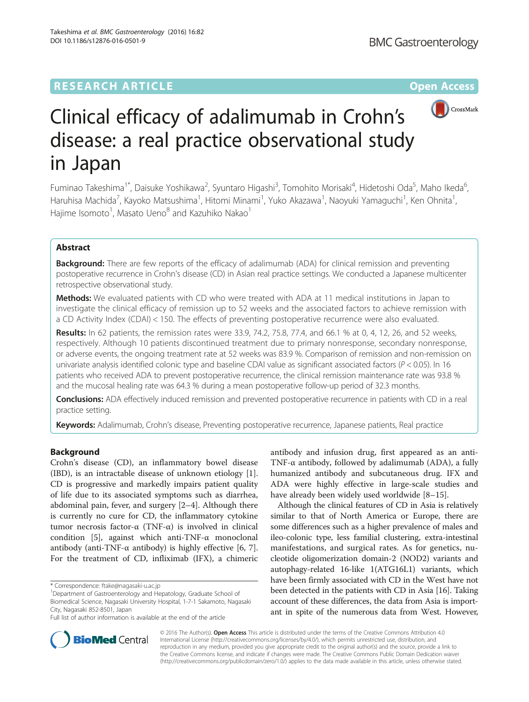# **RESEARCH ARTICLE External Structure Community Community Community Community Community Community Community Community**



# Clinical efficacy of adalimumab in Crohn's disease: a real practice observational study in Japan

Fuminao Takeshima<sup>1\*</sup>, Daisuke Yoshikawa<sup>2</sup>, Syuntaro Higashi<sup>3</sup>, Tomohito Morisaki<sup>4</sup>, Hidetoshi Oda<sup>5</sup>, Maho Ikeda<sup>6</sup> י<br>, Haruhisa Machida<sup>7</sup>, Kayoko Matsushima<sup>1</sup>, Hitomi Minami<sup>1</sup>, Yuko Akazawa<sup>1</sup>, Naoyuki Yamaguchi<sup>1</sup>, Ken Ohnita<sup>1</sup> , Hajime Isomoto $^1$ , Masato Ueno $^8$  and Kazuhiko Nakao $^1$ 

# Abstract

**Background:** There are few reports of the efficacy of adalimumab (ADA) for clinical remission and preventing postoperative recurrence in Crohn's disease (CD) in Asian real practice settings. We conducted a Japanese multicenter retrospective observational study.

Methods: We evaluated patients with CD who were treated with ADA at 11 medical institutions in Japan to investigate the clinical efficacy of remission up to 52 weeks and the associated factors to achieve remission with a CD Activity Index (CDAI) < 150. The effects of preventing postoperative recurrence were also evaluated.

Results: In 62 patients, the remission rates were 33.9, 74.2, 75.8, 77.4, and 66.1 % at 0, 4, 12, 26, and 52 weeks, respectively. Although 10 patients discontinued treatment due to primary nonresponse, secondary nonresponse, or adverse events, the ongoing treatment rate at 52 weeks was 83.9 %. Comparison of remission and non-remission on univariate analysis identified colonic type and baseline CDAI value as significant associated factors (P < 0.05). In 16 patients who received ADA to prevent postoperative recurrence, the clinical remission maintenance rate was 93.8 % and the mucosal healing rate was 64.3 % during a mean postoperative follow-up period of 32.3 months.

Conclusions: ADA effectively induced remission and prevented postoperative recurrence in patients with CD in a real practice setting.

Keywords: Adalimumab, Crohn's disease, Preventing postoperative recurrence, Japanese patients, Real practice

# Background

Crohn's disease (CD), an inflammatory bowel disease (IBD), is an intractable disease of unknown etiology [\[1](#page-6-0)]. CD is progressive and markedly impairs patient quality of life due to its associated symptoms such as diarrhea, abdominal pain, fever, and surgery [\[2](#page-6-0)–[4\]](#page-6-0). Although there is currently no cure for CD, the inflammatory cytokine tumor necrosis factor-α (TNF-α) is involved in clinical condition [[5](#page-6-0)], against which anti-TNF-α monoclonal antibody (anti-TNF- $\alpha$  antibody) is highly effective [[6, 7](#page-6-0)]. For the treatment of CD, infliximab (IFX), a chimeric

<sup>1</sup>Department of Gastroenterology and Hepatology, Graduate School of Biomedical Science, Nagasaki University Hospital, 1-7-1 Sakamoto, Nagasaki City, Nagasaki 852-8501, Japan

antibody and infusion drug, first appeared as an anti-TNF-α antibody, followed by adalimumab (ADA), a fully humanized antibody and subcutaneous drug. IFX and ADA were highly effective in large-scale studies and have already been widely used worldwide [[8](#page-6-0)–[15](#page-6-0)].

Although the clinical features of CD in Asia is relatively similar to that of North America or Europe, there are some differences such as a higher prevalence of males and ileo-colonic type, less familial clustering, extra-intestinal manifestations, and surgical rates. As for genetics, nucleotide oligomerization domain-2 (NOD2) variants and autophagy-related 16-like 1(ATG16L1) variants, which have been firmly associated with CD in the West have not been detected in the patients with CD in Asia [[16](#page-7-0)]. Taking account of these differences, the data from Asia is important in spite of the numerous data from West. However,



© 2016 The Author(s). Open Access This article is distributed under the terms of the Creative Commons Attribution 4.0 International License [\(http://creativecommons.org/licenses/by/4.0/](http://creativecommons.org/licenses/by/4.0/)), which permits unrestricted use, distribution, and reproduction in any medium, provided you give appropriate credit to the original author(s) and the source, provide a link to the Creative Commons license, and indicate if changes were made. The Creative Commons Public Domain Dedication waiver [\(http://creativecommons.org/publicdomain/zero/1.0/](http://creativecommons.org/publicdomain/zero/1.0/)) applies to the data made available in this article, unless otherwise stated.

<sup>\*</sup> Correspondence: [ftake@nagasaki-u.ac.jp](mailto:ftake@nagasaki-u.ac.jp) <sup>1</sup>

Full list of author information is available at the end of the article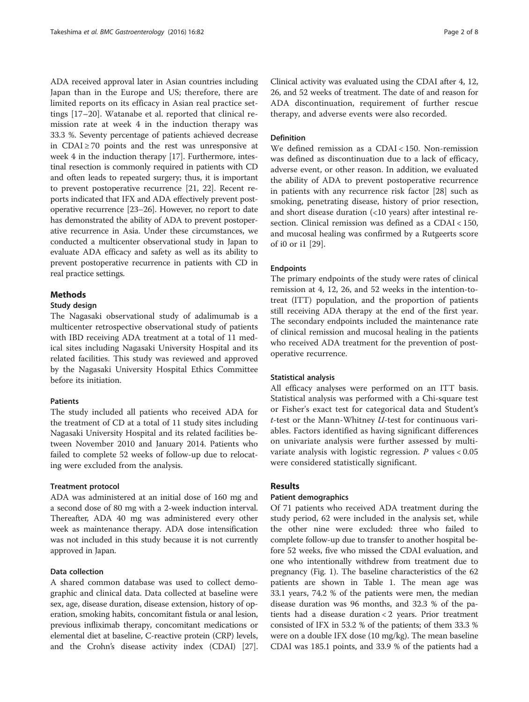ADA received approval later in Asian countries including Japan than in the Europe and US; therefore, there are limited reports on its efficacy in Asian real practice settings [\[17](#page-7-0)–[20](#page-7-0)]. Watanabe et al. reported that clinical remission rate at week 4 in the induction therapy was 33.3 %. Seventy percentage of patients achieved decrease in  $CDAI \ge 70$  points and the rest was unresponsive at week 4 in the induction therapy [\[17](#page-7-0)]. Furthermore, intestinal resection is commonly required in patients with CD and often leads to repeated surgery; thus, it is important to prevent postoperative recurrence [\[21, 22\]](#page-7-0). Recent reports indicated that IFX and ADA effectively prevent postoperative recurrence [\[23](#page-7-0)–[26](#page-7-0)]. However, no report to date has demonstrated the ability of ADA to prevent postoperative recurrence in Asia. Under these circumstances, we conducted a multicenter observational study in Japan to evaluate ADA efficacy and safety as well as its ability to prevent postoperative recurrence in patients with CD in real practice settings.

# Methods

# Study design

The Nagasaki observational study of adalimumab is a multicenter retrospective observational study of patients with IBD receiving ADA treatment at a total of 11 medical sites including Nagasaki University Hospital and its related facilities. This study was reviewed and approved by the Nagasaki University Hospital Ethics Committee before its initiation.

### Patients

The study included all patients who received ADA for the treatment of CD at a total of 11 study sites including Nagasaki University Hospital and its related facilities between November 2010 and January 2014. Patients who failed to complete 52 weeks of follow-up due to relocating were excluded from the analysis.

#### Treatment protocol

ADA was administered at an initial dose of 160 mg and a second dose of 80 mg with a 2-week induction interval. Thereafter, ADA 40 mg was administered every other week as maintenance therapy. ADA dose intensification was not included in this study because it is not currently approved in Japan.

# Data collection

A shared common database was used to collect demographic and clinical data. Data collected at baseline were sex, age, disease duration, disease extension, history of operation, smoking habits, concomitant fistula or anal lesion, previous infliximab therapy, concomitant medications or elemental diet at baseline, C-reactive protein (CRP) levels, and the Crohn's disease activity index (CDAI) [[27](#page-7-0)].

Clinical activity was evaluated using the CDAI after 4, 12, 26, and 52 weeks of treatment. The date of and reason for ADA discontinuation, requirement of further rescue therapy, and adverse events were also recorded.

#### Definition

We defined remission as a CDAI < 150. Non-remission was defined as discontinuation due to a lack of efficacy, adverse event, or other reason. In addition, we evaluated the ability of ADA to prevent postoperative recurrence in patients with any recurrence risk factor [[28](#page-7-0)] such as smoking, penetrating disease, history of prior resection, and short disease duration (<10 years) after intestinal resection. Clinical remission was defined as a CDAI < 150, and mucosal healing was confirmed by a Rutgeerts score of i0 or i1 [\[29](#page-7-0)].

#### Endpoints

The primary endpoints of the study were rates of clinical remission at 4, 12, 26, and 52 weeks in the intention-totreat (ITT) population, and the proportion of patients still receiving ADA therapy at the end of the first year. The secondary endpoints included the maintenance rate of clinical remission and mucosal healing in the patients who received ADA treatment for the prevention of postoperative recurrence.

#### Statistical analysis

All efficacy analyses were performed on an ITT basis. Statistical analysis was performed with a Chi-square test or Fisher's exact test for categorical data and Student's t-test or the Mann-Whitney U-test for continuous variables. Factors identified as having significant differences on univariate analysis were further assessed by multivariate analysis with logistic regression.  $P$  values < 0.05 were considered statistically significant.

#### Results

#### Patient demographics

Of 71 patients who received ADA treatment during the study period, 62 were included in the analysis set, while the other nine were excluded: three who failed to complete follow-up due to transfer to another hospital before 52 weeks, five who missed the CDAI evaluation, and one who intentionally withdrew from treatment due to pregnancy (Fig. [1\)](#page-2-0). The baseline characteristics of the 62 patients are shown in Table [1](#page-2-0). The mean age was 33.1 years, 74.2 % of the patients were men, the median disease duration was 96 months, and 32.3 % of the patients had a disease duration < 2 years. Prior treatment consisted of IFX in 53.2 % of the patients; of them 33.3 % were on a double IFX dose (10 mg/kg). The mean baseline CDAI was 185.1 points, and 33.9 % of the patients had a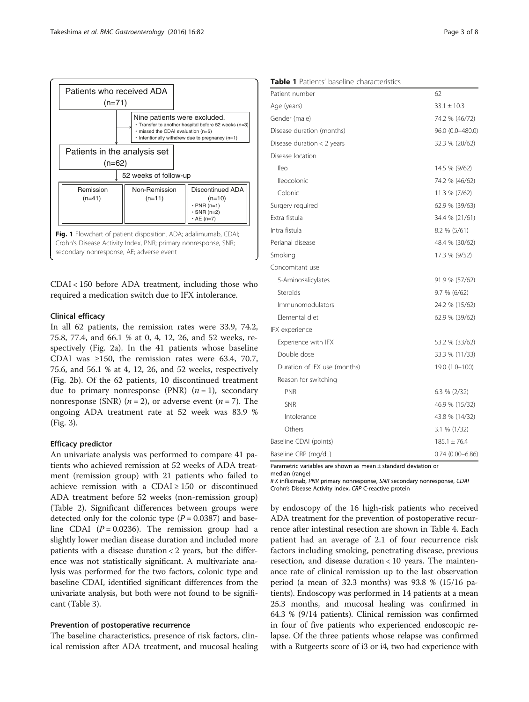<span id="page-2-0"></span>

CDAI < 150 before ADA treatment, including those who required a medication switch due to IFX intolerance.

#### Clinical efficacy

In all 62 patients, the remission rates were 33.9, 74.2, 75.8, 77.4, and 66.1 % at 0, 4, 12, 26, and 52 weeks, respectively (Fig. [2a](#page-3-0)). In the 41 patients whose baseline CDAI was  $\geq 150$ , the remission rates were 63.4, 70.7, 75.6, and 56.1 % at 4, 12, 26, and 52 weeks, respectively (Fig. [2b](#page-3-0)). Of the 62 patients, 10 discontinued treatment due to primary nonresponse (PNR)  $(n = 1)$ , secondary nonresponse (SNR)  $(n = 2)$ , or adverse event  $(n = 7)$ . The ongoing ADA treatment rate at 52 week was 83.9 % (Fig. [3](#page-3-0)).

#### Efficacy predictor

An univariate analysis was performed to compare 41 patients who achieved remission at 52 weeks of ADA treatment (remission group) with 21 patients who failed to achieve remission with a CDAI  $\geq$  150 or discontinued ADA treatment before 52 weeks (non-remission group) (Table [2](#page-4-0)). Significant differences between groups were detected only for the colonic type  $(P = 0.0387)$  and baseline CDAI ( $P = 0.0236$ ). The remission group had a slightly lower median disease duration and included more patients with a disease duration < 2 years, but the difference was not statistically significant. A multivariate analysis was performed for the two factors, colonic type and baseline CDAI, identified significant differences from the univariate analysis, but both were not found to be significant (Table [3\)](#page-4-0).

#### Prevention of postoperative recurrence

The baseline characteristics, presence of risk factors, clinical remission after ADA treatment, and mucosal healing

|  | <b>Table 1</b> Patients' baseline characteristics |
|--|---------------------------------------------------|
|  |                                                   |

| Patient number               | 62                  |
|------------------------------|---------------------|
| Age (years)                  | $33.1 \pm 10.3$     |
| Gender (male)                | 74.2 % (46/72)      |
| Disease duration (months)    | 96.0 (0.0-480.0)    |
| Disease duration $<$ 2 years | 32.3 % (20/62)      |
| Disease location             |                     |
| lleo                         | 14.5 % (9/62)       |
| Ileocolonic                  | 74.2 % (46/62)      |
| Colonic                      | 11.3 % (7/62)       |
| Surgery required             | 62.9 % (39/63)      |
| Extra fistula                | 34.4 % (21/61)      |
| Intra fistula                | 8.2 % (5/61)        |
| Perianal disease             | 48.4 % (30/62)      |
| Smoking                      | 17.3 % (9/52)       |
| Concomitant use              |                     |
| 5-Aminosalicylates           | 91.9 % (57/62)      |
| Steroids                     | 9.7 % (6/62)        |
| Immunomodulators             | 24.2 % (15/62)      |
| Elemental diet               | 62.9 % (39/62)      |
| IFX experience               |                     |
| Experience with IFX          | 53.2 % (33/62)      |
| Double dose                  | 33.3 % (11/33)      |
| Duration of IFX use (months) | 19.0 (1.0-100)      |
| Reason for switching         |                     |
| <b>PNR</b>                   | $6.3 \% (2/32)$     |
| <b>SNR</b>                   | 46.9 % (15/32)      |
| Intolerance                  | 43.8 % (14/32)      |
| Others                       | 3.1 % (1/32)        |
| Baseline CDAI (points)       | $185.1 \pm 76.4$    |
| Baseline CRP (mg/dL)         | $0.74(0.00 - 6.86)$ |

Parametric variables are shown as mean ± standard deviation or

median (range)

IFX infliximab, PNR primary nonresponse, SNR secondary nonresponse, CDAI Crohn's Disease Activity Index, CRP C-reactive protein

by endoscopy of the 16 high-risk patients who received ADA treatment for the prevention of postoperative recurrence after intestinal resection are shown in Table [4](#page-5-0). Each patient had an average of 2.1 of four recurrence risk factors including smoking, penetrating disease, previous resection, and disease duration < 10 years. The maintenance rate of clinical remission up to the last observation period (a mean of 32.3 months) was 93.8 % (15/16 patients). Endoscopy was performed in 14 patients at a mean 25.3 months, and mucosal healing was confirmed in 64.3 % (9/14 patients). Clinical remission was confirmed in four of five patients who experienced endoscopic relapse. Of the three patients whose relapse was confirmed with a Rutgeerts score of i3 or i4, two had experience with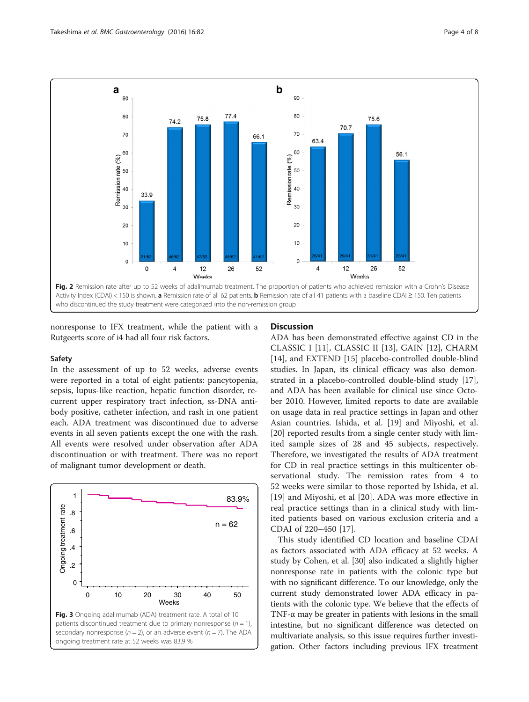<span id="page-3-0"></span>

nonresponse to IFX treatment, while the patient with a Rutgeerts score of i4 had all four risk factors.

#### Safety

In the assessment of up to 52 weeks, adverse events were reported in a total of eight patients: pancytopenia, sepsis, lupus-like reaction, hepatic function disorder, recurrent upper respiratory tract infection, ss-DNA antibody positive, catheter infection, and rash in one patient each. ADA treatment was discontinued due to adverse events in all seven patients except the one with the rash. All events were resolved under observation after ADA discontinuation or with treatment. There was no report of malignant tumor development or death.



# **Discussion**

ADA has been demonstrated effective against CD in the CLASSIC I [[11\]](#page-6-0), CLASSIC II [[13\]](#page-6-0), GAIN [\[12](#page-6-0)], CHARM [[14\]](#page-6-0), and EXTEND [\[15](#page-6-0)] placebo-controlled double-blind studies. In Japan, its clinical efficacy was also demonstrated in a placebo-controlled double-blind study [\[17](#page-7-0)], and ADA has been available for clinical use since October 2010. However, limited reports to date are available on usage data in real practice settings in Japan and other Asian countries. Ishida, et al. [\[19](#page-7-0)] and Miyoshi, et al. [[20\]](#page-7-0) reported results from a single center study with limited sample sizes of 28 and 45 subjects, respectively. Therefore, we investigated the results of ADA treatment for CD in real practice settings in this multicenter observational study. The remission rates from 4 to 52 weeks were similar to those reported by Ishida, et al. [[19\]](#page-7-0) and Miyoshi, et al [\[20](#page-7-0)]. ADA was more effective in real practice settings than in a clinical study with limited patients based on various exclusion criteria and a CDAI of 220–450 [\[17](#page-7-0)].

This study identified CD location and baseline CDAI as factors associated with ADA efficacy at 52 weeks. A study by Cohen, et al. [\[30](#page-7-0)] also indicated a slightly higher nonresponse rate in patients with the colonic type but with no significant difference. To our knowledge, only the current study demonstrated lower ADA efficacy in patients with the colonic type. We believe that the effects of TNF- $\alpha$  may be greater in patients with lesions in the small intestine, but no significant difference was detected on multivariate analysis, so this issue requires further investigation. Other factors including previous IFX treatment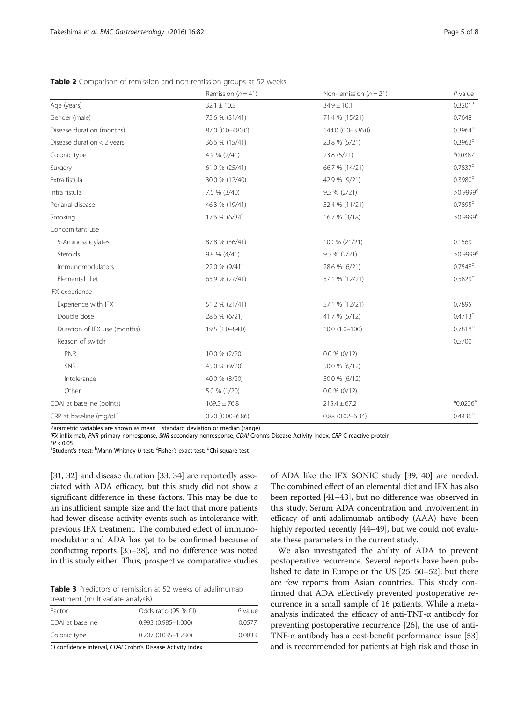|                              | Remission ( $n = 41$ ) | Non-remission ( $n = 21$ ) | $P$ value              |
|------------------------------|------------------------|----------------------------|------------------------|
| Age (years)                  | $32.1 \pm 10.5$        | $34.9 \pm 10.1$            | 0.3201 <sup>a</sup>    |
| Gender (male)                | 75.6 % (31/41)         | 71.4 % (15/21)             | $0.7648^c$             |
| Disease duration (months)    | 87.0 (0.0-480.0)       | 144.0 (0.0-336.0)          | 0.3964 <sup>b</sup>    |
| Disease duration $<$ 2 years | 36.6 % (15/41)         | 23.8 % (5/21)              | $0.3962^c$             |
| Colonic type                 | 4.9 % (2/41)           | 23.8 (5/21)                | $*0.0387c$             |
| Surgery                      | 61.0 % (25/41)         | 66.7 % (14/21)             | 0.7837c                |
| Extra fistula                | 30.0 % (12/40)         | 42.9 % (9/21)              | 0.3980 <sup>c</sup>    |
| Intra fistula                | 7.5 % (3/40)           | 9.5 % (2/21)               | $>0.9999$ <sup>c</sup> |
| Perianal disease             | 46.3 % (19/41)         | 52.4 % (11/21)             | 0.7895c                |
| Smoking                      | 17.6 % (6/34)          | 16.7 % (3/18)              | $>0.9999$ <sup>c</sup> |
| Concomitant use              |                        |                            |                        |
| 5-Aminosalicylates           | 87.8 % (36/41)         | 100 % (21/21)              | 0.1569 <sup>c</sup>    |
| Steroids                     | $9.8 \% (4/41)$        | $9.5 \% (2/21)$            | $>0.9999$ <sup>c</sup> |
| Immunomodulators             | 22.0 % (9/41)          | 28.6 % (6/21)              | 0.7548c                |
| Elemental diet               | 65.9 % (27/41)         | 57.1 % (12/21)             | 0.5829c                |
| IFX experience               |                        |                            |                        |
| Experience with IFX          | 51.2 % (21/41)         | 57.1 % (12/21)             | $0.7895^c$             |
| Double dose                  | 28.6 % (6/21)          | 41.7 % (5/12)              | 0.4713c                |
| Duration of IFX use (months) | 19.5 (1.0-84.0)        | $10.0(1.0-100)$            | $0.7818^{b}$           |
| Reason of switch             |                        |                            | $0.5700$ <sup>d</sup>  |
| PNR                          | 10.0 % (2/20)          | $0.0 \% (0/12)$            |                        |
| <b>SNR</b>                   | 45.0 % (9/20)          | 50.0 % (6/12)              |                        |
| Intolerance                  | 40.0 % (8/20)          | 50.0 % (6/12)              |                        |
| Other                        | 5.0 % (1/20)           | $0.0 \% (0/12)$            |                        |
| CDAI at baseline (points)    | $169.5 \pm 76.8$       | $215.4 \pm 67.2$           | $*0.0236$ <sup>a</sup> |
| CRP at baseline (mg/dL)      | $0.70(0.00 - 6.86)$    | $0.88(0.02 - 6.34)$        | 0.4436 <sup>b</sup>    |

<span id="page-4-0"></span>Table 2 Comparison of remission and non-remission groups at 52 weeks

Parametric variables are shown as mean ± standard deviation or median (range)

IFX infliximab, PNR primary nonresponse, SNR secondary nonresponse, CDAI Crohn's Disease Activity Index, CRP C-reactive protein<br>\*P < 0.05

\*P < 0.05<br><sup>a</sup>Student's *t*-test; <sup>b</sup>Mann-Whitney *U*-test; <sup>c</sup>Fisher's exact test; <sup>d</sup>Chi-square test<br>.

[[31](#page-7-0), [32](#page-7-0)] and disease duration [\[33, 34](#page-7-0)] are reportedly associated with ADA efficacy, but this study did not show a significant difference in these factors. This may be due to an insufficient sample size and the fact that more patients had fewer disease activity events such as intolerance with previous IFX treatment. The combined effect of immunomodulator and ADA has yet to be confirmed because of conflicting reports [\[35](#page-7-0)–[38](#page-7-0)], and no difference was noted in this study either. Thus, prospective comparative studies

Table 3 Predictors of remission at 52 weeks of adalimumab treatment (multivariate analysis)

| Factor           | Odds ratio (95 % CI)   | P value |
|------------------|------------------------|---------|
| CDAI at baseline | $0.993(0.985 - 1.000)$ | 0.0577  |
| Colonic type     | $0.207(0.035 - 1.230)$ | 0.0833  |
|                  |                        |         |

CI confidence interval, CDAI Crohn's Disease Activity Index

of ADA like the IFX SONIC study [[39](#page-7-0), [40](#page-7-0)] are needed. The combined effect of an elemental diet and IFX has also been reported [\[41](#page-7-0)–[43](#page-7-0)], but no difference was observed in this study. Serum ADA concentration and involvement in efficacy of anti-adalimumab antibody (AAA) have been highly reported recently [[44](#page-7-0)–[49\]](#page-7-0), but we could not evaluate these parameters in the current study.

We also investigated the ability of ADA to prevent postoperative recurrence. Several reports have been published to date in Europe or the US [\[25, 50](#page-7-0)–[52\]](#page-7-0), but there are few reports from Asian countries. This study confirmed that ADA effectively prevented postoperative recurrence in a small sample of 16 patients. While a metaanalysis indicated the efficacy of anti-TNF- $\alpha$  antibody for preventing postoperative recurrence [\[26](#page-7-0)], the use of anti-TNF- $\alpha$  antibody has a cost-benefit performance issue [[53](#page-7-0)] and is recommended for patients at high risk and those in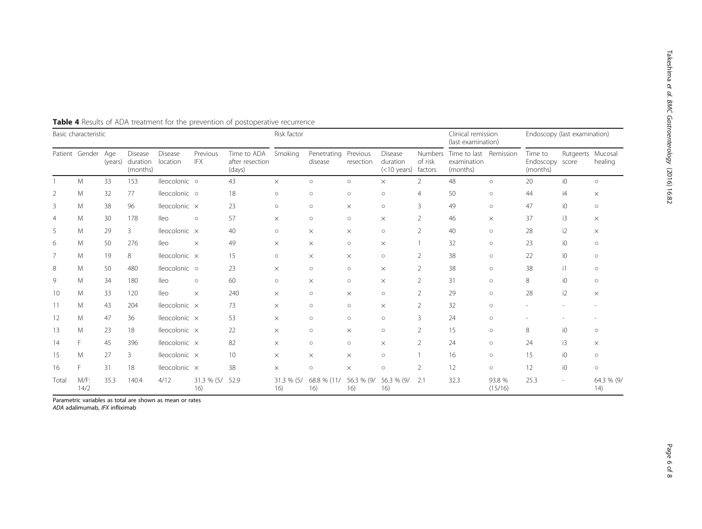| Basic characteristic |                |      |                                         |                            | Risk factor            |                                          |                   |                        | Clinical remission<br>(last examination) |                                            | Endoscopy (last examination) |                                                   |                   |                                        |                   |                    |
|----------------------|----------------|------|-----------------------------------------|----------------------------|------------------------|------------------------------------------|-------------------|------------------------|------------------------------------------|--------------------------------------------|------------------------------|---------------------------------------------------|-------------------|----------------------------------------|-------------------|--------------------|
|                      | Patient Gender | Age  | Disease<br>(years) duration<br>(months) | <b>Disease</b><br>location | Previous<br><b>IFX</b> | Time to ADA<br>after resection<br>(days) | Smoking           | Penetrating<br>disease | Previous<br>resection                    | Disease<br>duration<br>(<10 years) factors | <b>Numbers</b><br>of risk    | Time to last Remission<br>examination<br>(months) |                   | Time to<br>Endoscopy score<br>(months) | Rutgeerts Mucosal | healing            |
|                      | M              | 33   | 153                                     | lleocolonic o              |                        | 43                                       | $\times$          | $\circ$                | $\circ$                                  | $\times$                                   | $\overline{2}$               | 48                                                | $\circ$           | 20                                     | i0                | $\circ$            |
| $\overline{2}$       | Μ              | 32   | 77                                      | lleocolonic o              |                        | 18                                       | $\circ$           | $\circ$                | $\circ$                                  | $\circ$                                    | 4                            | 50                                                | $\circ$           | 44                                     | i4                | X                  |
| 3                    | M              | 38   | 96                                      | Ileocolonic x              |                        | 23                                       | $\circ$           | $\circ$                | $\times$                                 | $\circ$                                    | 3                            | 49                                                | $\circ$           | 47                                     | i0                | $\circ$            |
| $\overline{4}$       | M              | 30   | 178                                     | lleo                       | $\circ$                | 57                                       | $\times$          | $\circ$                | $\circ$                                  | $\times$                                   | 2                            | 46                                                | $\times$          | 37                                     | i3                | $\times$           |
| 5                    | M              | 29   | 3                                       | lleocolonic x              |                        | 40                                       | $\circ$           | $\times$               | $\times$                                 | $\circ$                                    | 2                            | 40                                                | $\circ$           | 28                                     | i2                | $\times$           |
| 6                    | M              | 50   | 276                                     | lleo                       | $\times$               | 49                                       | $\times$          | $\times$               | $\circ$                                  | $\times$                                   |                              | 32                                                | $\circ$           | 23                                     | i0                | $\circ$            |
| 7                    | M              | 19   | 8                                       | lleocolonic x              |                        | 15                                       | $\circ$           | $\times$               | $\times$                                 | $\circ$                                    | $\overline{2}$               | 38                                                | $\circ$           | 22                                     | i0                | $\circ$            |
| 8                    | M              | 50   | 480                                     | lleocolonic o              |                        | 23                                       | $\times$          | $\circ$                | $\circ$                                  | $\times$                                   | 2                            | 38                                                | $\circ$           | 38                                     | $\mathsf{11}$     | $\circ$            |
| 9                    | M              | 34   | 180                                     | lleo                       | $\circ$                | 60                                       | $\circ$           | $\times$               | $\circ$                                  | $\times$                                   | $\overline{2}$               | 31                                                | $\circ$           | 8                                      | i0                | $\circ$            |
| 10                   | M              | 33   | 120                                     | lleo                       | $\times$               | 240                                      | $\times$          | $\circ$                | $\times$                                 | $\circ$                                    | 2                            | 29                                                | $\circ$           | 28                                     | i2                | $\times$           |
| 11                   | M              | 43   | 204                                     | lleocolonic x              |                        | 73                                       | $\times$          | $\circ$                | $\circ$                                  | $\times$                                   | 2                            | 32                                                | $\circ$           |                                        |                   |                    |
| 12                   | Μ              | 47   | 36                                      | lleocolonic x              |                        | 53                                       | $\times$          | $\circ$                | $\circ$                                  | $\circ$                                    | 3                            | 24                                                | $\circ$           |                                        |                   |                    |
| 13                   | M              | 23   | 18                                      | lleocolonic x              |                        | 22                                       | $\times$          | $\circ$                | $\times$                                 | $\circ$                                    | 2                            | 15                                                | $\circ$           | 8                                      | i0                | $\circ$            |
| 14                   | F.             | 45   | 396                                     | lleocolonic x              |                        | 82                                       | $\times$          | $\circ$                | $\circ$                                  | $\times$                                   | 2                            | 24                                                | $\circ$           | 24                                     | i3                | $\times$           |
| 15                   | Μ              | 27   | 3                                       | Ileocolonic x              |                        | 10 <sup>°</sup>                          | $\times$          | $\times$               | $\times$                                 | $\circ$                                    |                              | 16                                                | $\circ$           | 15                                     | iO                | $\circ$            |
| 16                   | F              | 31   | 18                                      | Ileocolonic x              |                        | 38                                       | $\times$          | $\circ$                | $\times$                                 | $\circ$                                    | 2                            | 12                                                | $\circ$           | 12                                     | i0                | $\circ$            |
| Total                | M/F:<br>14/2   | 35.3 | 140.4                                   | 4/12                       | 31.3 % (5/<br>16)      | 52.9                                     | 31.3 % (5/<br>16) | 68.8 % (11/<br>16)     | 56.3 % (9/<br>16)                        | 56.3 % (9/<br>16)                          | 2.1                          | 32.3                                              | 93.8 %<br>(15/16) | 25.3                                   |                   | 64.3 % (9/<br>(14) |

<span id="page-5-0"></span>Table 4 Results of ADA treatment for the prevention of postoperative recurrence

Parametric variables as total are shown as mean or rates

ADA adalimumab, IFX infliximab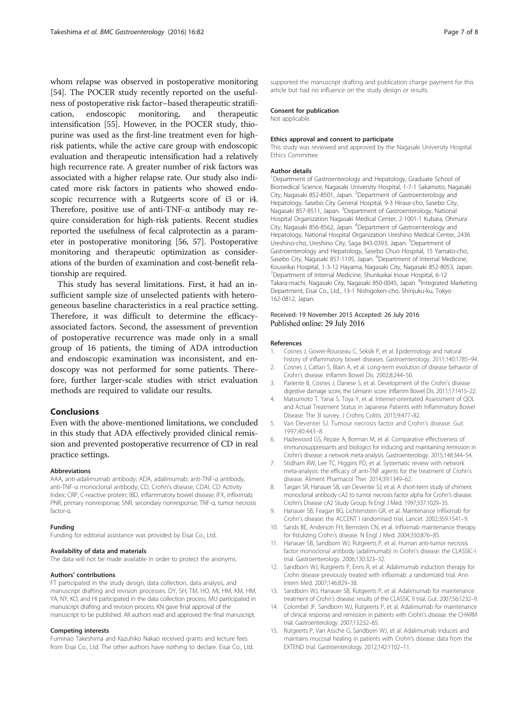<span id="page-6-0"></span>whom relapse was observed in postoperative monitoring [[54](#page-7-0)]. The POCER study recently reported on the usefulness of postoperative risk factor–based therapeutic stratification, endoscopic monitoring, and therapeutic intensification [\[55\]](#page-7-0). However, in the POCER study, thiopurine was used as the first-line treatment even for highrisk patients, while the active care group with endoscopic evaluation and therapeutic intensification had a relatively high recurrence rate. A greater number of risk factors was associated with a higher relapse rate. Our study also indicated more risk factors in patients who showed endoscopic recurrence with a Rutgeerts score of i3 or i4. Therefore, positive use of anti-TNF-α antibody may require consideration for high-risk patients. Recent studies reported the usefulness of fecal calprotectin as a parameter in postoperative monitoring [[56](#page-7-0), [57\]](#page-7-0). Postoperative monitoring and therapeutic optimization as considerations of the burden of examination and cost-benefit relationship are required.

This study has several limitations. First, it had an insufficient sample size of unselected patients with heterogeneous baseline characteristics in a real practice setting. Therefore, it was difficult to determine the efficacyassociated factors. Second, the assessment of prevention of postoperative recurrence was made only in a small group of 16 patients, the timing of ADA introduction and endoscopic examination was inconsistent, and endoscopy was not performed for some patients. Therefore, further larger-scale studies with strict evaluation methods are required to validate our results.

#### **Conclusions**

Even with the above-mentioned limitations, we concluded in this study that ADA effectively provided clinical remission and prevented postoperative recurrence of CD in real practice settings.

#### Abbreviations

AAA, anti-adalimumab antibody; ADA, adalimumab; anti-TNF-α antibody, anti-TNF-α monoclonal antibody; CD, Crohn's disease; CDAI, CD Activity Index; CRP, C-reactive protein; IBD, inflammatory bowel disease; IFX, infliximab; PNR, primary nonresponse; SNR, secondary nonresponse; TNF-α, tumor necrosis factor-α.

#### Funding

Funding for editorial assistance was provided by Eisai Co., Ltd.

#### Availability of data and materials

The data will not be made available in order to protect the anonyms.

#### Authors' contributions

FT participated in the study design, data collection, data analysis, and manuscript drafting and revision processes. DY, SH, TM, HO, MI, HM, KM, HM, YA, NY, KO, and HI participated in the data collection process. MU participated in manuscript drafting and revision process. KN gave final approval of the manuscript to be published. All authors read and approved the final manuscript.

#### Competing interests

Fuminao Takeshima and Kazuhiko Nakao received grants and lecture fees from Eisai Co., Ltd. The other authors have nothing to declare. Eisai Co., Ltd. supported the manuscript drafting and publication charge payment for this article but had no influence on the study design or results.

#### Consent for publication

Not applicable.

#### Ethics approval and consent to participate

This study was reviewed and approved by the Nagasaki University Hospital Ethics Committee.

#### Author details

<sup>1</sup>Department of Gastroenterology and Hepatology, Graduate School of Biomedical Science, Nagasaki University Hospital, 1-7-1 Sakamoto, Nagasaki City, Nagasaki 852-8501, Japan. <sup>2</sup>Department of Gastroenterology and Hepatology, Sasebo City General Hospital, 9-3 Hirase-cho, Sasebo City, Nagasaki 857-8511, Japan. <sup>3</sup>Department of Gastroenterology, National Hospital Organization Nagasaki Medical Center, 2-1001-1 Kubara, Ohmura City, Nagasaki 856-8562, Japan. <sup>4</sup> Department of Gastroenterology and Hepatology, National Hospital Organization Ureshino Medical Center, 2436 Ureshino-cho, Ureshino City, Saga 843-0393, Japan. <sup>5</sup>Department of Gastroenterology and Hepatology, Sasebo Chuo Hospital, 15 Yamato-cho, Sasebo City, Nagasaki 857-1195, Japan. <sup>6</sup>Department of Internal Medicine Kouseikai Hospital, 1-3-12 Hayama, Nagasaki City, Nagasaki 852-8053, Japan. 7 Department of Internal Medicine, Shunkaikai Inoue Hospital, 6-12 Takara-machi, Nagasaki City, Nagasaki 850-0045, Japan. <sup>8</sup>Integrated Marketing Department, Eisai Co., Ltd., 13-1 Nishigoken-cho, Shinjuku-ku, Tokyo 162-0812, Japan.

# Received: 19 November 2015 Accepted: 26 July 2016

#### References

- 1. Cosnes J, Gower-Rousseau C, Seksik P, et al. Epidemiology and natural history of inflammatory bowel diseases. Gastroenterology. 2011;140:1785–94.
- 2. Cosnes J, Cattan S, Blain A, et al. Long-term evolution of disease behavior of Crohn's disease. Inflamm Bowel Dis. 2002;8:244–50.
- 3. Pariente B, Cosnes J, Danese S, et al. Development of the Crohn's disease digestive damage score, the Lémann score. Inflamm Bowel Dis. 2011;17:1415–22.
- 4. Matsumoto T, Yanai S, Toya Y, et al. Internet-orientated Assessment of QOL and Actual Treatment Status in Japanese Patients with Inflammatory Bowel Disease: The 3I survey. J Crohns Colitis. 2015;9:477–82.
- 5. Van Deventer SJ. Tumour necrosis factor and Crohn's disease. Gut. 1997;40:443–8.
- 6. Hazlewood GS, Rezaie A, Borman M, et al. Comparative effectiveness of immunosuppressants and biologics for inducing and maintaining remission in Crohn's disease: a network meta-analysis. Gastroenterology. 2015;148:344–54.
- 7. Stidham RW, Lee TC, Higgins PD, et al. Systematic review with network meta-analysis: the efficacy of anti-TNF agents for the treatment of Crohn's disease. Aliment Pharmacol Ther. 2014;39:1349–62.
- 8. Targan SR, Hanauer SB, van Deventer SJ, et al. A short-term study of chimeric monoclonal antibody cA2 to tumor necrosis factor alpha for Crohn's disease. Crohn's Disease cA2 Study Group. N Engl J Med. 1997;337:1029–35.
- 9. Hanauer SB, Feagan BG, Lichtenstein GR, et al. Maintenance infliximab for Crohn's disease: the ACCENT I randomised trial. Lancet. 2002;359:1541–9.
- 10. Sands BE, Anderson FH, Bernstein CN, et al. Infliximab maintenance therapy for fistulizing Crohn's disease. N Engl J Med. 2004;350:876–85.
- 11. Hanauer SB, Sandborn WJ, Rutgeerts P, et al. Human anti-tumor necrosis factor monoclonal antibody (adalimumab) in Crohn's disease: the CLASSIC-I trial. Gastroenterology. 2006;130:323–32.
- 12. Sandborn WJ, Rutgeerts P, Enns R, et al. Adalimumab induction therapy for Crohn disease previously treated with infliximab: a randomized trial. Ann Intern Med. 2007;146:829–38.
- 13. Sandborn WJ, Hanauer SB, Rutgeerts P, et al. Adalimumab for maintenance treatment of Crohn's disease: results of the CLASSIC II trial. Gut. 2007;56:1232–9.
- 14. Colombel JF, Sandborn WJ, Rutgeerts P, et al. Adalimumab for maintenance of clinical response and remission in patients with Crohn's disease: the CHARM trial. Gastroenterology. 2007;132:52–65.
- 15. Rutgeerts P, Van Assche G, Sandborn WJ, et al. Adalimumab induces and maintains mucosal healing in patients with Crohn's disease: data from the EXTEND trial. Gastroenterology. 2012;142:1102–11.